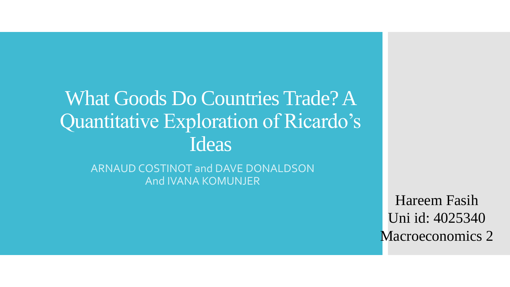What Goods Do Countries Trade? A Quantitative Exploration of Ricardo's Ideas

ARNAUD COSTINOT and DAVE DONALDSON And IVANA KOMUNJER

> Hareem Fasih Uni id: 4025340 Macroeconomics 2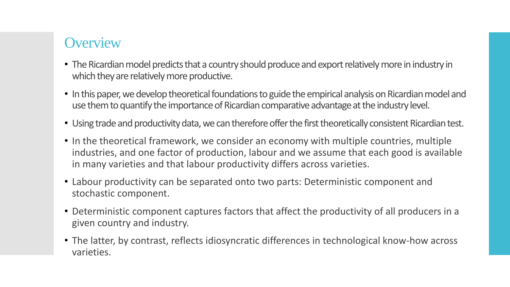# **Overview**

- The Ricardian model predicts that a country should produce and export relatively more in industry in which they are relatively more productive.
- In this paper, we develop theoretical foundations to guide the empirical analysis on Ricardian model and use them to quantify the importance of Ricardian comparative advantage at the industry level.
- Using trade and productivity data, we can therefore offer the first theoretically consistent Ricardian test.
- In the theoretical framework, we consider an economy with multiple countries, multiple industries, and one factor of production, labour and we assume that each good is available in many varieties and that labour productivity differs across varieties.
- Labour productivity can be separated onto two parts: Deterministic component and stochastic component.
- Deterministic component captures factors that affect the productivity of all producers in a given country and industry.
- The latter, by contrast, reflects idiosyncratic differences in technological know-how across varieties.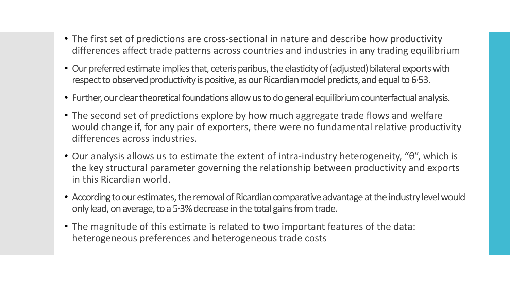- The first set of predictions are cross-sectional in nature and describe how productivity differences affect trade patterns across countries and industries in any trading equilibrium
- Our preferred estimate implies that, ceteris paribus, the elasticity of (adjusted) bilateral exports with respect to observed productivity is positive, as our Ricardian model predicts, and equal to 6∙53.
- Further, our clear theoretical foundations allow us to do general equilibrium counterfactual analysis.
- The second set of predictions explore by how much aggregate trade flows and welfare would change if, for any pair of exporters, there were no fundamental relative productivity differences across industries.
- Our analysis allows us to estimate the extent of intra-industry heterogeneity, "θ", which is the key structural parameter governing the relationship between productivity and exports in this Ricardian world.
- According to our estimates, the removal of Ricardian comparative advantage at the industry level would only lead, on average, to a 5∙3% decrease in the total gains from trade.
- The magnitude of this estimate is related to two important features of the data: heterogeneous preferences and heterogeneous trade costs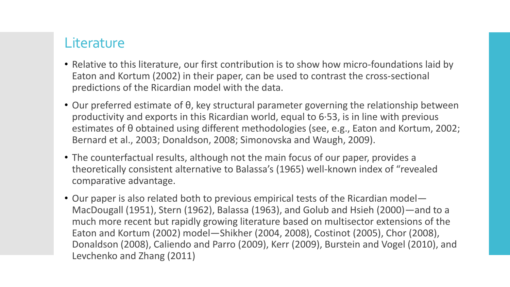## **Literature**

- Relative to this literature, our first contribution is to show how micro-foundations laid by Eaton and Kortum (2002) in their paper, can be used to contrast the cross-sectional predictions of the Ricardian model with the data.
- Our preferred estimate of θ, key structural parameter governing the relationship between productivity and exports in this Ricardian world, equal to 6∙53, is in line with previous estimates of θ obtained using different methodologies (see, e.g., Eaton and Kortum, 2002; Bernard et al., 2003; Donaldson, 2008; Simonovska and Waugh, 2009).
- The counterfactual results, although not the main focus of our paper, provides a theoretically consistent alternative to Balassa's (1965) well-known index of "revealed comparative advantage.
- Our paper is also related both to previous empirical tests of the Ricardian model— MacDougall (1951), Stern (1962), Balassa (1963), and Golub and Hsieh (2000)—and to a much more recent but rapidly growing literature based on multisector extensions of the Eaton and Kortum (2002) model—Shikher (2004, 2008), Costinot (2005), Chor (2008), Donaldson (2008), Caliendo and Parro (2009), Kerr (2009), Burstein and Vogel (2010), and Levchenko and Zhang (2011)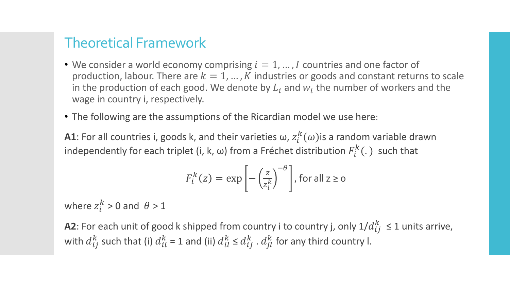#### Theoretical Framework

- We consider a world economy comprising  $i = 1, ..., I$  countries and one factor of production, labour. There are  $k = 1, ..., K$  industries or goods and constant returns to scale in the production of each good. We denote by  $L_i$  and  $w_i$  the number of workers and the wage in country i, respectively.
- The following are the assumptions of the Ricardian model we use here:

**A1**: For all countries i, goods k, and their varieties  $\omega$ ,  $z_i^k(\omega)$ is a random variable drawn independently for each triplet (i, k,  $\omega$ ) from a Fréchet distribution  $F_i^k(.)$  such that

$$
F_i^k(z) = \exp\left[-\left(\frac{z}{z_i^k}\right)^{-\theta}\right], \text{ for all } z \ge 0
$$

where  $z_i^k > 0$  and  $\theta > 1$ 

**A2**: For each unit of good k shipped from country i to country j, only  $1/d_{ij}^k \leq 1$  units arrive, with  $d_{ij}^k$  such that (i)  $d_{ii}^k$  = 1 and (ii)  $d_{il}^k \leq d_{ij}^k$  .  $d_{jl}^k$  for any third country l.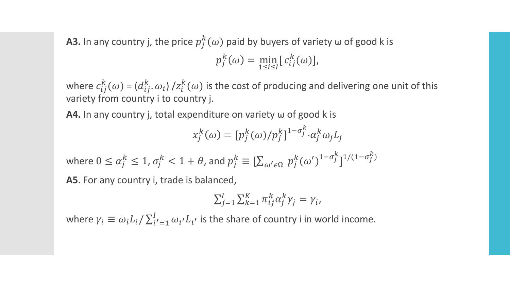**A3.** In any country j, the price  $p_j^k(\omega)$  paid by buyers of variety  $\omega$  of good k is

$$
p_j^k(\omega) = \min_{1 \le i \le I} [c_{ij}^k(\omega)],
$$

where  $c_{ij}^k(\omega)$  = ( $d_{ij}^k$ . $\omega_i$ ) / $z_i^k(\omega)$  is the cost of producing and delivering one unit of this variety from country i to country j.

**A4.** In any country j, total expenditure on variety ω of good k is

$$
x_j^k(\omega) = [p_j^k(\omega)/p_j^k]^{1-\sigma_j^k} \cdot \alpha_j^k \omega_j L_j
$$

where  $0\leq \alpha_j^k\leq 1$ ,  $\sigma_j^k< 1+\theta$ , and  $p_j^k\equiv [\sum_{\omega'\in\Omega} \, p_j^k(\omega')]^{1-\sigma_j^k}$  $]^{1/(1-\sigma_j^k)}$ **A5**. For any country i, trade is balanced,

$$
\sum_{j=1}^I \sum_{k=1}^K \pi_{ij}^k \alpha_j^k \gamma_j = \gamma_i,
$$

where  $\gamma_i \equiv \omega_i L_i / \sum_{i'=1}^I \omega_{i'} L_{i'}$  is the share of country i in world income.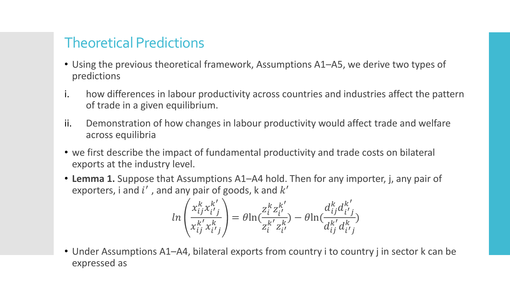## Theoretical Predictions

- Using the previous theoretical framework, Assumptions A1–A5, we derive two types of predictions
- i. how differences in labour productivity across countries and industries affect the pattern of trade in a given equilibrium.
- ii. Demonstration of how changes in labour productivity would affect trade and welfare across equilibria
- we first describe the impact of fundamental productivity and trade costs on bilateral exports at the industry level.
- **Lemma 1.** Suppose that Assumptions A1–A4 hold. Then for any importer, j, any pair of exporters, i and  $i'$ , and any pair of goods, k and  $k'$

$$
ln\left(\frac{x_{ij}^k x_{i'j}^{k'}}{x_{ij}^{k'} x_{i'j}^k}\right) = \theta ln(\frac{z_i^k z_{i'}^{k'}}{z_i^{k'} z_{i'}^{k'}}) - \theta ln(\frac{d_{ij}^k d_{i'j}^{k'}}{d_{ij}^{k'} d_{i'j}^k})
$$

• Under Assumptions A1–A4, bilateral exports from country i to country j in sector k can be expressed as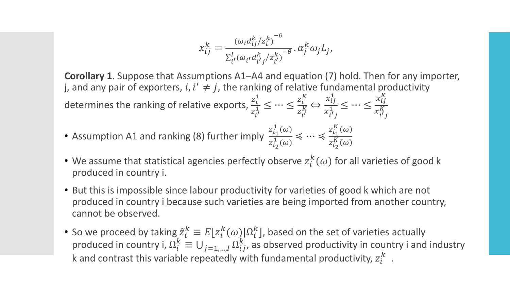$$
x_{ij}^k = \frac{(\omega_i d_{ij}^k / z_i^k)^{-\theta}}{\sum_{i'}^l (\omega_{i'} d_{i'j}^k / z_{i'}^k)^{-\theta}} \cdot \alpha_j^k \omega_j L_j,
$$

**Corollary 1**. Suppose that Assumptions A1–A4 and equation (7) hold. Then for any importer, j, and any pair of exporters, i,  $i' \neq j$ , the ranking of relative fundamental productivity determines the ranking of relative exports,  $\frac{z_i^1}{z^1}$  $z_{i'}^1$  $\frac{i}{1} \leq \cdots \leq \frac{z_i^K}{z^K}$  $z_{i'}^{\kappa}$  $\frac{i}{K} \Leftrightarrow$  $x_{ij}^1$  $x_{i'j}^1$  $\frac{y_1}{1} \leq \cdots \leq$  $x_{ij}^K$  $x_{i'j}^{\kappa}$ K • Assumption A1 and ranking (8) further imply  $z_{i_1}^1(\omega)$  $z_{i_2}^1(\omega)$ ≼ ⋯ ≼  $z_{i_1}^K(\omega$  $z_{i_2}^K(\omega$ 

- We assume that statistical agencies perfectly observe  $z_i^k(\omega)$  for all varieties of good k produced in country i.
- But this is impossible since labour productivity for varieties of good k which are not produced in country i because such varieties are being imported from another country, cannot be observed.
- So we proceed by taking  $\tilde{z}_i^k \equiv E[z_i^k(\omega)]\Omega_i^k$ ], based on the set of varieties actually produced in country i,  $\Omega_i^k \equiv \bigcup_{j=1,...,l} \Omega_{ij}^k$ , as observed productivity in country i and industry k and contrast this variable repeatedly with fundamental productivity,  $z_i^k$ .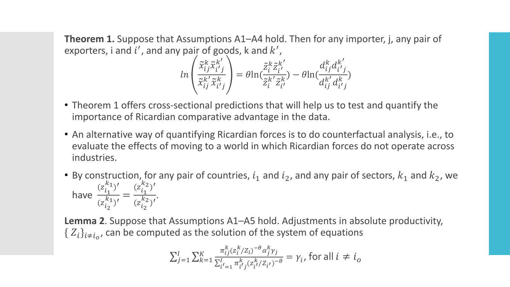**Theorem 1.** Suppose that Assumptions A1–A4 hold. Then for any importer, j, any pair of exporters, i and i', and any pair of goods, k and  $k'$ ,

$$
ln\left(\frac{\tilde{x}_{ij}^k \tilde{x}_{i'j}^{k'}}{\tilde{x}_{ij}^k \tilde{x}_{i'j}^k}\right) = \theta ln(\frac{\tilde{z}_i^k \tilde{z}_{i'}^{k'}}{\tilde{z}_i^{k'} \tilde{z}_{i'}^k}) - \theta ln(\frac{d_{ij}^k d_{i'j}^{k'}}{d_{ij}^{k'} d_{i'j}^k})
$$

- Theorem 1 offers cross-sectional predictions that will help us to test and quantify the importance of Ricardian comparative advantage in the data.
- An alternative way of quantifying Ricardian forces is to do counterfactual analysis, i.e., to evaluate the effects of moving to a world in which Ricardian forces do not operate across industries.
- By construction, for any pair of countries,  $i_1$  and  $i_2$ , and any pair of sectors,  $k_1$  and  $k_2$ , we have  $(z_{i_1}^{k_1})'$  $\left( z \right)$  $i_2$  $\frac{l_1}{k_1}$  =  $(z_{i_1}^{k_2})'$  $\left( z \right)$  $i_2$  $\frac{l_1}{k_2}$ .

**Lemma 2**. Suppose that Assumptions A1–A5 hold. Adjustments in absolute productivity,  $\set{Z_i}_{i\neq i_o}$ , can be computed as the solution of the system of equations

$$
\sum_{j=1}^{I} \sum_{k=1}^{K} \frac{\pi_{ij}^{k} (z_i^{k}/Z_i)^{-\theta} \alpha_j^{k} \gamma_j}{\sum_{i'=1}^{I} \pi_{i'j}^{k} (z_{i'}^{k}/Z_{i'})^{-\theta}} = \gamma_i, \text{ for all } i \neq i_0
$$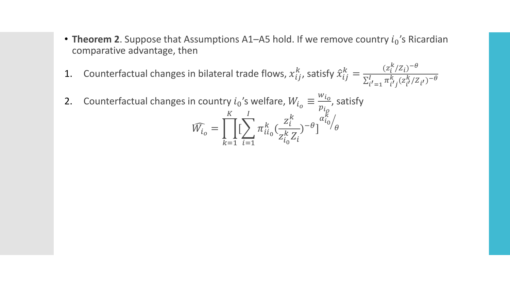- **Theorem 2**. Suppose that Assumptions A1–A5 hold. If we remove country  $i_0$ 's Ricardian comparative advantage, then
- 1. Counterfactual changes in bilateral trade flows,  $x_{ij}^k$ , satisfy  $\hat{x}_{ij}^k = \frac{(z_i^k / Z_i)^{-\theta}}{\nabla^l, \pi^k, (z^k / Z_i)}$  $\sum_{i'=1}^I \pi_{i'j}^k$  $k \atop i'j} (z^k_{i'}$  $\frac{k}{i'}$ /Z<sub>i</sub> $)$ <sup>- $\theta$ </sup>

2. Counterfactual changes in country  $i_0$ 's welfare,  $W_{i_0} \equiv$  $Wi_{O}$  $pi_{\rho}$ , satisfy = ෑ  $k=1$  $\boldsymbol{K}$  $\left[\ \right\rangle$  $i=1$  $\overline{l}$  $\pi_{ii_0}^k($  $z_i^k$  $z_{i_0}^k Z_i$  $)^{-\theta}$ ]  $\alpha_{i_0}^{\breve{K}}/$  $\theta$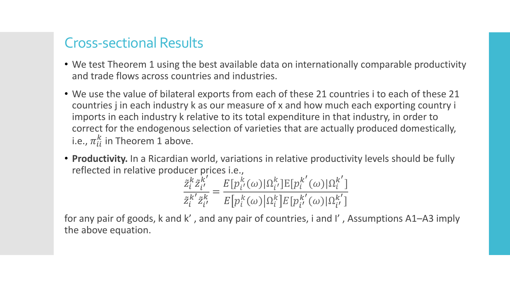#### Cross-sectional Results

- We test Theorem 1 using the best available data on internationally comparable productivity and trade flows across countries and industries.
- We use the value of bilateral exports from each of these 21 countries i to each of these 21 countries j in each industry k as our measure of x and how much each exporting country i imports in each industry k relative to its total expenditure in that industry, in order to correct for the endogenous selection of varieties that are actually produced domestically, i.e.,  $\pi_{ii}^k$  in Theorem 1 above.
- **Productivity.** In a Ricardian world, variations in relative productivity levels should be fully reflected in relative producer prices i.e.,

$$
\frac{\tilde{z}_i^k \tilde{z}_{i'}^{k'}}{\tilde{z}_i^{k'} \tilde{z}_{i'}^k} = \frac{E[p_{i'}^k(\omega)|\Omega_{i'}^k]E[p_i^{k'}(\omega)|\Omega_i^{k'}]}{E[p_i^k(\omega)|\Omega_i^k]E[p_{i'}^{k'}(\omega)|\Omega_{i'}^{k'}]}
$$

for any pair of goods, k and k' , and any pair of countries, i and I' , Assumptions A1–A3 imply the above equation.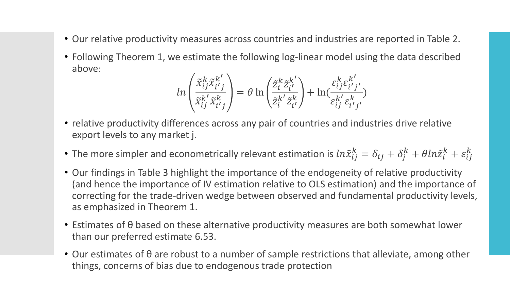- Our relative productivity measures across countries and industries are reported in Table 2.
- Following Theorem 1, we estimate the following log-linear model using the data described above:

$$
ln\left(\frac{\tilde{x}_{ij}^k \tilde{x}_{i'j}^{k'}}{\tilde{x}_{ij}^k \tilde{x}_{i'j}^k}\right) = \theta \ln\left(\frac{\tilde{z}_i^k \tilde{z}_{i'}^{k'}}{\tilde{z}_i^{k'} \tilde{z}_{i'}^k}\right) + \ln\left(\frac{\varepsilon_{ij}^k \varepsilon_{i'j'}^{k'}}{\varepsilon_{ij}^{k'} \varepsilon_{i'j'}^k}\right)
$$

- relative productivity differences across any pair of countries and industries drive relative export levels to any market j.
- The more simpler and econometrically relevant estimation is  $ln \tilde{x}_{ij}^k = \delta_{ij} + \delta_j^k + \theta ln \tilde{z}_i^k + \varepsilon_{ij}^k$
- Our findings in Table 3 highlight the importance of the endogeneity of relative productivity (and hence the importance of IV estimation relative to OLS estimation) and the importance of correcting for the trade-driven wedge between observed and fundamental productivity levels, as emphasized in Theorem 1.
- Estimates of θ based on these alternative productivity measures are both somewhat lower than our preferred estimate 6.53.
- Our estimates of θ are robust to a number of sample restrictions that alleviate, among other things, concerns of bias due to endogenous trade protection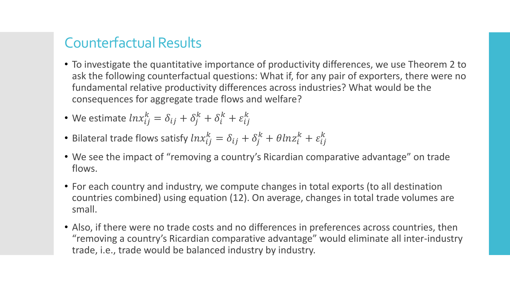## Counterfactual Results

- To investigate the quantitative importance of productivity differences, we use Theorem 2 to ask the following counterfactual questions: What if, for any pair of exporters, there were no fundamental relative productivity differences across industries? What would be the consequences for aggregate trade flows and welfare?
- We estimate  $ln x_{ij}^k = \delta_{ij} + \delta_j^k + \delta_i^k + \varepsilon_{ij}^k$
- Bilateral trade flows satisfy  $ln x_{ij}^k = \delta_{ij} + \delta_j^k + \theta ln z_i^k + \varepsilon_{ij}^k$
- We see the impact of "removing a country's Ricardian comparative advantage" on trade flows.
- For each country and industry, we compute changes in total exports (to all destination countries combined) using equation (12). On average, changes in total trade volumes are small.
- Also, if there were no trade costs and no differences in preferences across countries, then "removing a country's Ricardian comparative advantage" would eliminate all inter-industry trade, i.e., trade would be balanced industry by industry.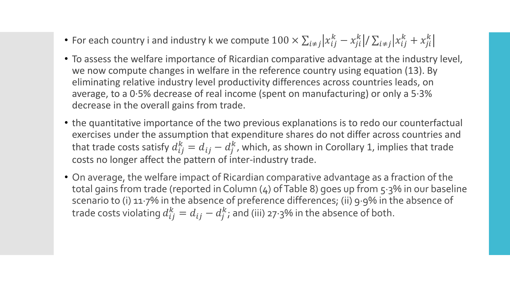- For each country i and industry k we compute  $100\times \sum_{i\neq j}\lvert x^k_{ij}-x^k_{ji}\rvert/\sum_{i\neq j}\lvert x^k_{ij}+x^k_{ji}$
- To assess the welfare importance of Ricardian comparative advantage at the industry level, we now compute changes in welfare in the reference country using equation (13). By eliminating relative industry level productivity differences across countries leads, on average, to a 0∙5% decrease of real income (spent on manufacturing) or only a 5∙3% decrease in the overall gains from trade.
- the quantitative importance of the two previous explanations is to redo our counterfactual exercises under the assumption that expenditure shares do not differ across countries and that trade costs satisfy  $d_{ij}^k = d_{ij} - d_j^k$ , which, as shown in Corollary 1, implies that trade costs no longer affect the pattern of inter-industry trade.
- On average, the welfare impact of Ricardian comparative advantage as a fraction of the total gains from trade (reported in Column (4) of Table 8) goes up from 5∙3% in our baseline scenario to (i) 11∙7% in the absence of preference differences; (ii) 9∙9% in the absence of trade costs violating  $d_{ij}^k = d_{ij} - d_j^k$ ; and (iii) 27∙3% in the absence of both.